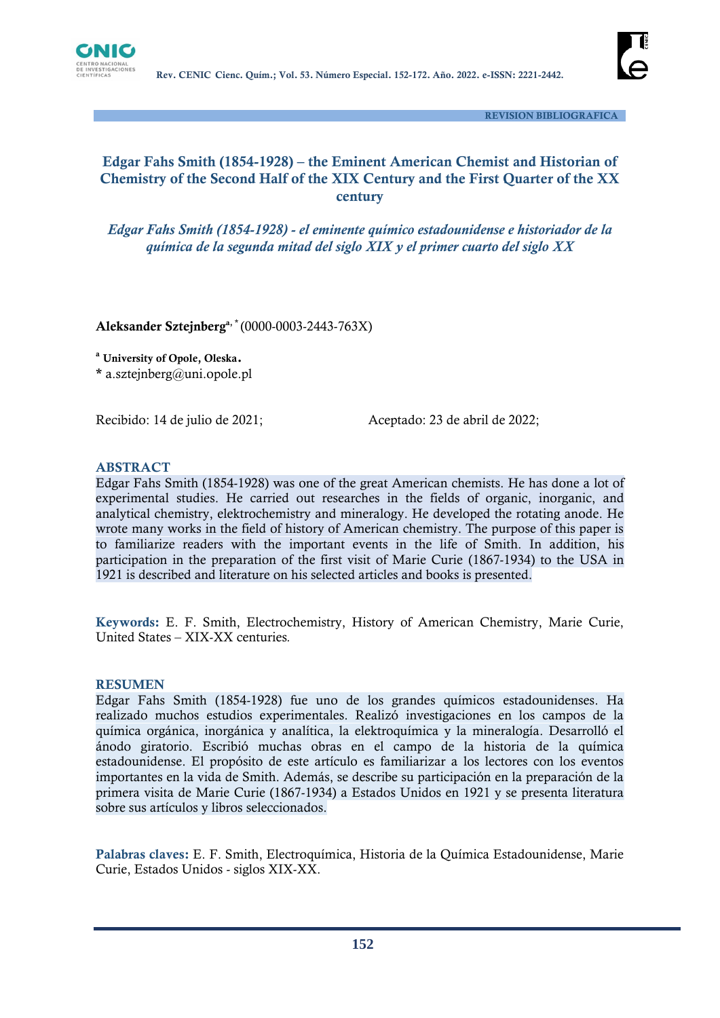

 **REVISION BIBLIOGRAFICA**

# **Edgar Fahs Smith (1854-1928) – the Eminent American Chemist and Historian of Chemistry of the Second Half of the XIX Century and the First Quarter of the XX century**

*Edgar Fahs Smith (1854-1928) - el eminente químico estadounidense e historiador de la química de la segunda mitad del siglo XIX y el primer cuarto del siglo XX*

**Aleksander Sztejnberga, \*** (0000-0003-2443-763X)

**<sup>a</sup> University of Opole, Oleska.**

**\*** a.sztejnberg@uni.opole.pl

Recibido: 14 de julio de 2021;<br>
Aceptado: 23 de abril de 2022;

## **ABSTRACT**

Edgar Fahs Smith (1854-1928) was one of the great American chemists. He has done a lot of experimental studies. He carried out researches in the fields of organic, inorganic, and analytical chemistry, elektrochemistry and mineralogy. He developed the rotating anode. He wrote many works in the field of history of American chemistry. The purpose of this paper is to familiarize readers with the important events in the life of Smith. In addition, his participation in the preparation of the first visit of Marie Curie (1867-1934) to the USA in 1921 is described and literature on his selected articles and books is presented.

**Keywords:** E. F. Smith, Electrochemistry, History of American Chemistry, Marie Curie, United States – XIX-XX centuries*.*

#### **RESUMEN**

Edgar Fahs Smith (1854-1928) fue uno de los grandes químicos estadounidenses. Ha realizado muchos estudios experimentales. Realizó investigaciones en los campos de la química orgánica, inorgánica y analítica, la elektroquímica y la mineralogía. Desarrolló el ánodo giratorio. Escribió muchas obras en el campo de la historia de la química estadounidense. El propósito de este artículo es familiarizar a los lectores con los eventos importantes en la vida de Smith. Además, se describe su participación en la preparación de la primera visita de Marie Curie (1867-1934) a Estados Unidos en 1921 y se presenta literatura sobre sus artículos y libros seleccionados.

**Palabras claves:** E. F. Smith, Electroquímica, Historia de la Química Estadounidense, Marie Curie, Estados Unidos - siglos XIX-XX.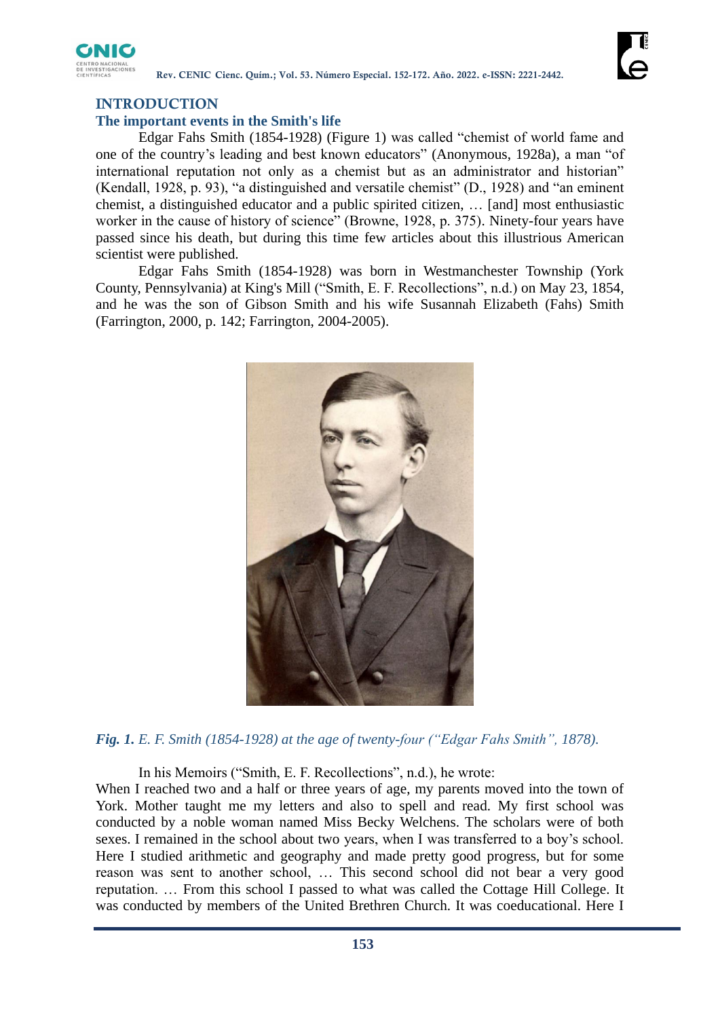

# **INTRODUCTION**

# **The important events in the Smith's life**

Edgar Fahs Smith (1854-1928) (Figure 1) was called "chemist of world fame and one of the country's leading and best known educators" (Anonymous, 1928a), a man "of international reputation not only as a chemist but as an administrator and historian" (Kendall, 1928, p. 93), "a distinguished and versatile chemist" (D., 1928) and "an eminent chemist, a distinguished educator and a public spirited citizen, … [and] most enthusiastic worker in the cause of history of science" (Browne, 1928, p. 375). Ninety-four years have passed since his death, but during this time few articles about this illustrious American scientist were published.

Edgar Fahs Smith (1854-1928) was born in Westmanchester Township (York County, Pennsylvania) at King's Mill ("Smith, E. F. Recollections", n.d.) on May 23, 1854, and he was the son of Gibson Smith and his wife Susannah Elizabeth (Fahs) Smith (Farrington, 2000, p. 142; Farrington, 2004-2005).



*Fig. 1. E. F. Smith (1854-1928) at the age of twenty-four ("Edgar Fahs Smith", 1878).*

In his Memoirs ("Smith, E. F. Recollections", n.d.), he wrote:

When I reached two and a half or three years of age, my parents moved into the town of York. Mother taught me my letters and also to spell and read. My first school was conducted by a noble woman named Miss Becky Welchens. The scholars were of both sexes. I remained in the school about two years, when I was transferred to a boy's school. Here I studied arithmetic and geography and made pretty good progress, but for some reason was sent to another school, … This second school did not bear a very good reputation. … From this school I passed to what was called the Cottage Hill College. It was conducted by members of the United Brethren Church. It was coeducational. Here I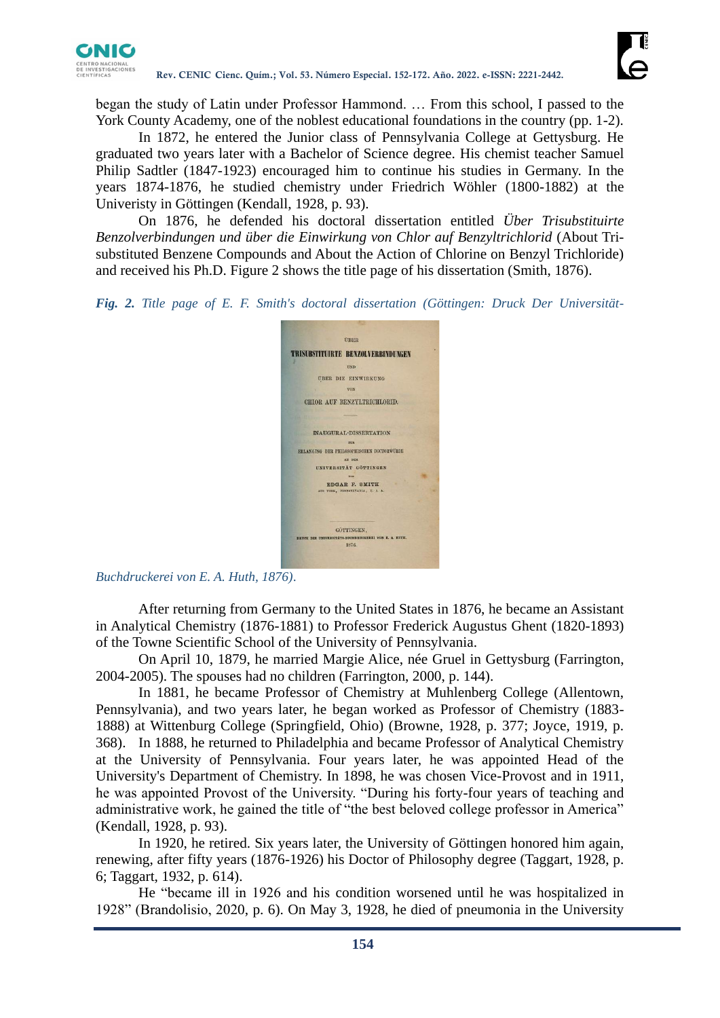

began the study of Latin under Professor Hammond. … From this school, I passed to the York County Academy, one of the noblest educational foundations in the country (pp. 1-2).

In 1872, he entered the Junior class of Pennsylvania College at Gettysburg. He graduated two years later with a Bachelor of Science degree. His chemist teacher Samuel Philip Sadtler (1847-1923) encouraged him to continue his studies in Germany. In the years 1874-1876, he studied chemistry under Friedrich Wöhler (1800-1882) at the Univeristy in Göttingen (Kendall, 1928, p. 93).

On 1876, he defended his doctoral dissertation entitled *Über Trisubstituirte Benzolverbindungen und über die Einwirkung von Chlor auf Benzyltrichlorid* (About Trisubstituted Benzene Compounds and About the Action of Chlorine on Benzyl Trichloride) and received his Ph.D. Figure 2 shows the title page of his dissertation (Smith, 1876).

*Fig. 2. Title page of E. F. Smith's doctoral dissertation (Göttingen: Druck Der Universität-*



*Buchdruckerei von E. A. Huth, 1876)*.

After returning from Germany to the United States in 1876, he became an Assistant in Analytical Chemistry (1876-1881) to Professor Frederick Augustus Ghent (1820-1893) of the Towne Scientific School of the University of Pennsylvania.

On April 10, 1879, he married Margie Alice, née Gruel in Gettysburg (Farrington, 2004-2005). The spouses had no children (Farrington, 2000, p. 144).

In 1881, he became Professor of Chemistry at Muhlenberg College (Allentown, Pennsylvania), and two years later, he began worked as Professor of Chemistry (1883- 1888) at Wittenburg College (Springfield, Ohio) (Browne, 1928, p. 377; Joyce, 1919, p. 368). In 1888, he returned to Philadelphia and became Professor of Analytical Chemistry at the University of Pennsylvania. Four years later, he was appointed Head of the University's Department of Chemistry. In 1898, he was chosen Vice-Provost and in 1911, he was appointed Provost of the University. "During his forty-four years of teaching and administrative work, he gained the title of "the best beloved college professor in America" (Kendall, 1928, p. 93).

In 1920, he retired. Six years later, the University of Göttingen honored him again, renewing, after fifty years (1876-1926) his Doctor of Philosophy degree (Taggart, 1928, p. 6; Taggart, 1932, p. 614).

He "became ill in 1926 and his condition worsened until he was hospitalized in 1928" (Brandolisio, 2020, p. 6). On May 3, 1928, he died of pneumonia in the University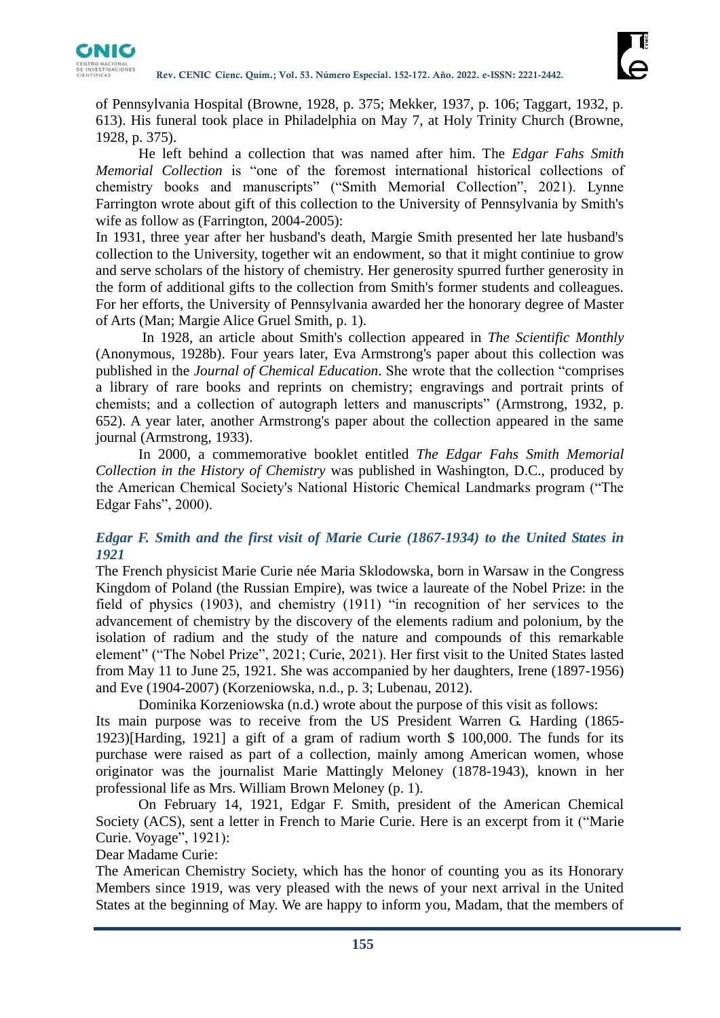

of Pennsylvania Hospital (Browne, 1928, p. 375; Mekker, 1937, p. 106; Taggart, 1932, p. 613). His funeral took place in Philadelphia on May 7, at Holy Trinity Church (Browne, 1928, p. 375).

He left behind a collection that was named after him. The *Edgar Fahs Smith Memorial Collection* is "one of the foremost international historical collections of chemistry books and manuscripts" ("Smith Memorial Collection", 2021). Lynne Farrington wrote about gift of this collection to the University of Pennsylvania by Smith's wife as follow as (Farrington, 2004-2005):

In 1931, three year after her husband's death, Margie Smith presented her late husband's collection to the University, together wit an endowment, so that it might continiue to grow and serve scholars of the history of chemistry. Her generosity spurred further generosity in the form of additional gifts to the collection from Smith's former students and colleagues. For her efforts, the University of Pennsylvania awarded her the honorary degree of Master of Arts (Man; Margie Alice Gruel Smith, p. 1).

In 1928, an article about Smith's collection appeared in *The Scientific Monthly* (Anonymous, 1928b). Four years later, Eva Armstrong's paper about this collection was published in the *Journal of Chemical Education*. She wrote that the collection "comprises a library of rare books and reprints on chemistry; engravings and portrait prints of chemists; and a collection of autograph letters and manuscripts" (Armstrong, 1932, p. 652). A year later, another Armstrong's paper about the collection appeared in the same journal (Armstrong, 1933).

In 2000, a commemorative booklet entitled *The Edgar Fahs Smith Memorial Collection in the History of Chemistry* was published in Washington, D.C., produced by the American Chemical Society's National Historic Chemical Landmarks program ("The Edgar Fahs", 2000).

## *Edgar F. Smith and the first visit of Marie Curie (1867-1934) to the United States in 1921*

The French physicist Marie Curie née Maria Sklodowska, born in Warsaw in the Congress Kingdom of Poland (the Russian Empire), was twice a laureate of the Nobel Prize: in the field of physics (1903), and chemistry (1911) "in recognition of her services to the advancement of chemistry by the discovery of the elements radium and polonium, by the isolation of radium and the study of the nature and compounds of this remarkable element" ("The Nobel Prize", 2021; Curie, 2021). Her first visit to the United States lasted from May 11 to June 25, 1921. She was accompanied by her daughters, Irene (1897-1956) and Eve (1904-2007) (Korzeniowska, n.d., p. 3; Lubenau, 2012).

Dominika Korzeniowska (n.d.) wrote about the purpose of this visit as follows: Its main purpose was to receive from the US President Warren G. Harding (1865- 1923)[Harding, 1921] a gift of a gram of radium worth \$ 100,000. The funds for its purchase were raised as part of a collection, mainly among American women, whose originator was the journalist Marie Mattingly Meloney (1878-1943), known in her professional life as Mrs. William Brown Meloney (p. 1).

On February 14, 1921, Edgar F. Smith, president of the American Chemical Society (ACS), sent a letter in French to Marie Curie. Here is an excerpt from it ("Marie Curie. Voyage", 1921):

Dear Madame Curie:

The American Chemistry Society, which has the honor of counting you as its Honorary Members since 1919, was very pleased with the news of your next arrival in the United States at the beginning of May. We are happy to inform you, Madam, that the members of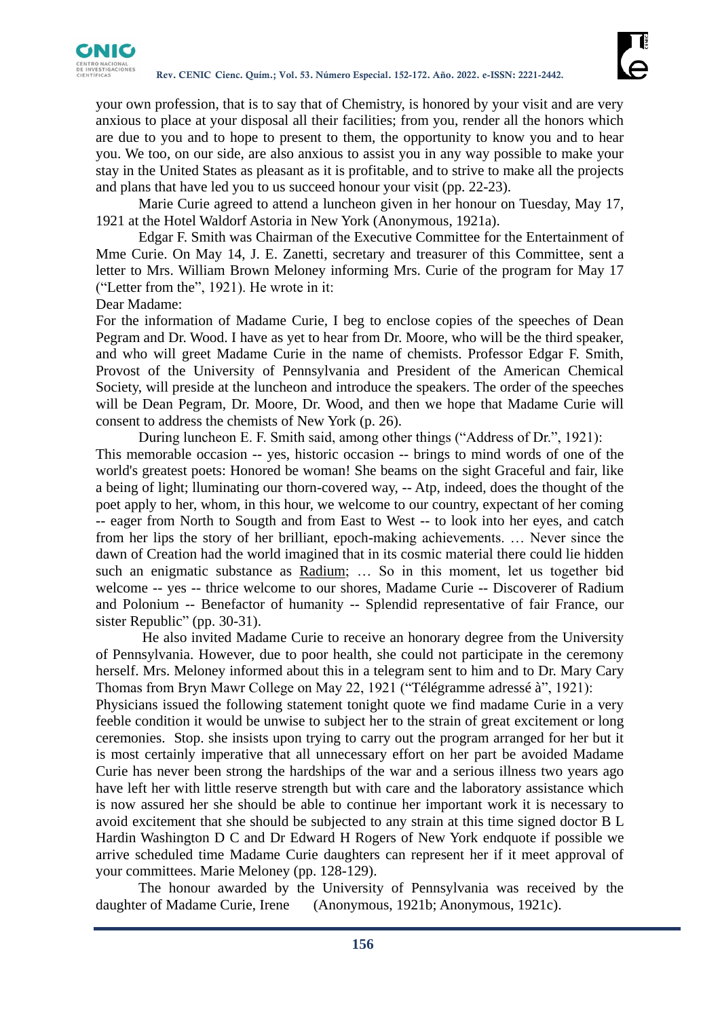

your own profession, that is to say that of Chemistry, is honored by your visit and are very anxious to place at your disposal all their facilities; from you, render all the honors which are due to you and to hope to present to them, the opportunity to know you and to hear you. We too, on our side, are also anxious to assist you in any way possible to make your stay in the United States as pleasant as it is profitable, and to strive to make all the projects and plans that have led you to us succeed honour your visit (pp. 22-23).

Marie Curie agreed to attend a luncheon given in her honour on Tuesday, May 17, 1921 at the Hotel Waldorf Astoria in New York (Anonymous, 1921a).

Edgar F. Smith was Chairman of the Executive Committee for the Entertainment of Mme Curie. On May 14, J. E. Zanetti, secretary and treasurer of this Committee, sent a letter to Mrs. William Brown Meloney informing Mrs. Curie of the program for May 17 ("Letter from the", 1921). He wrote in it:

Dear Madame:

For the information of Madame Curie, I beg to enclose copies of the speeches of Dean Pegram and Dr. Wood. I have as yet to hear from Dr. Moore, who will be the third speaker, and who will greet Madame Curie in the name of chemists. Professor Edgar F. Smith, Provost of the University of Pennsylvania and President of the American Chemical Society, will preside at the luncheon and introduce the speakers. The order of the speeches will be Dean Pegram, Dr. Moore, Dr. Wood, and then we hope that Madame Curie will consent to address the chemists of New York (p. 26).

During luncheon E. F. Smith said, among other things ("Address of Dr.", 1921): This memorable occasion -- yes, historic occasion -- brings to mind words of one of the world's greatest poets: Honored be woman! She beams on the sight Graceful and fair, like a being of light; lluminating our thorn-covered way, -- Atp, indeed, does the thought of the poet apply to her, whom, in this hour, we welcome to our country, expectant of her coming -- eager from North to Sougth and from East to West -- to look into her eyes, and catch from her lips the story of her brilliant, epoch-making achievements. … Never since the dawn of Creation had the world imagined that in its cosmic material there could lie hidden such an enigmatic substance as Radium; … So in this moment, let us together bid welcome -- yes -- thrice welcome to our shores, Madame Curie -- Discoverer of Radium and Polonium -- Benefactor of humanity -- Splendid representative of fair France, our sister Republic" (pp. 30-31).

He also invited Madame Curie to receive an honorary degree from the University of Pennsylvania. However, due to poor health, she could not participate in the ceremony herself. Mrs. Meloney informed about this in a telegram sent to him and to Dr. Mary Cary Thomas from Bryn Mawr College on May 22, 1921 ("Télégramme adressé à", 1921): Physicians issued the following statement tonight quote we find madame Curie in a very feeble condition it would be unwise to subject her to the strain of great excitement or long ceremonies. Stop. she insists upon trying to carry out the program arranged for her but it is most certainly imperative that all unnecessary effort on her part be avoided Madame Curie has never been strong the hardships of the war and a serious illness two years ago have left her with little reserve strength but with care and the laboratory assistance which is now assured her she should be able to continue her important work it is necessary to avoid excitement that she should be subjected to any strain at this time signed doctor B L Hardin Washington D C and Dr Edward H Rogers of New York endquote if possible we arrive scheduled time Madame Curie daughters can represent her if it meet approval of your committees. Marie Meloney (pp. 128-129).

The honour awarded by the University of Pennsylvania was received by the daughter of Madame Curie, Irene (Anonymous, 1921b; Anonymous, 1921c).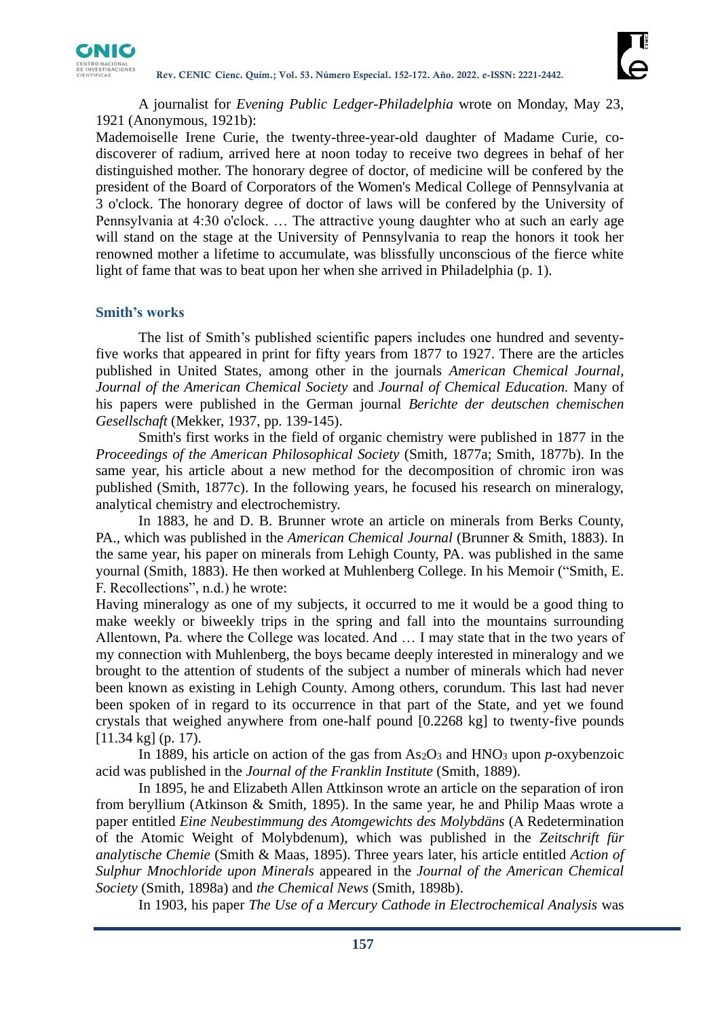

A journalist for *Evening Public Ledger-Philadelphia* wrote on Monday, May 23, 1921 (Anonymous, 1921b):

Mademoiselle Irene Curie, the twenty-three-year-old daughter of Madame Curie, codiscoverer of radium, arrived here at noon today to receive two degrees in behaf of her distinguished mother. The honorary degree of doctor, of medicine will be confered by the president of the Board of Corporators of the Women's Medical College of Pennsylvania at 3 o'clock. The honorary degree of doctor of laws will be confered by the University of Pennsylvania at 4:30 o'clock. … The attractive young daughter who at such an early age will stand on the stage at the University of Pennsylvania to reap the honors it took her renowned mother a lifetime to accumulate, was blissfully unconscious of the fierce white light of fame that was to beat upon her when she arrived in Philadelphia (p. 1).

#### **Smith's works**

The list of Smith's published scientific papers includes one hundred and seventyfive works that appeared in print for fifty years from 1877 to 1927. There are the articles published in United States, among other in the journals *American Chemical Journal*, *Journal of the American Chemical Society* and *Journal of Chemical Education.* Many of his papers were published in the German journal *Berichte der deutschen chemischen Gesellschaft* (Mekker, 1937, pp. 139-145).

Smith's first works in the field of organic chemistry were published in 1877 in the *Proceedings of the American Philosophical Society* (Smith, 1877a; Smith, 1877b). In the same year, his article about a new method for the decomposition of chromic iron was published (Smith, 1877c). In the following years, he focused his research on mineralogy, analytical chemistry and electrochemistry.

In 1883, he and D. B. Brunner wrote an article on minerals from Berks County, PA., which was published in the *American Chemical Journal* (Brunner & Smith, 1883). In the same year, his paper on minerals from Lehigh County, PA. was published in the same yournal (Smith, 1883). He then worked at Muhlenberg College. In his Memoir ("Smith, E. F. Recollections", n.d.) he wrote:

Having mineralogy as one of my subjects, it occurred to me it would be a good thing to make weekly or biweekly trips in the spring and fall into the mountains surrounding Allentown, Pa. where the College was located. And … I may state that in the two years of my connection with Muhlenberg, the boys became deeply interested in mineralogy and we brought to the attention of students of the subject a number of minerals which had never been known as existing in Lehigh County. Among others, corundum. This last had never been spoken of in regard to its occurrence in that part of the State, and yet we found crystals that weighed anywhere from one-half pound [0.2268 kg] to twenty-five pounds [11.34 kg] (p. 17).

In 1889, his article on action of the gas from  $As<sub>2</sub>O<sub>3</sub>$  and  $HNO<sub>3</sub>$  upon *p*-oxybenzoic acid was published in the *Journal of the Franklin Institute* (Smith, 1889).

In 1895, he and Elizabeth Allen Attkinson wrote an article on the separation of iron from beryllium (Atkinson & Smith, 1895). In the same year, he and Philip Maas wrote a paper entitled *Eine Neubestimmung des Atomgewichts des Molybdäns* (A Redetermination of the Atomic Weight of Molybdenum), which was published in the *Zeitschrift für analytische Chemie* (Smith & Maas, 1895). Three years later, his article entitled *Action of Sulphur Mnochloride upon Minerals* appeared in the *Journal of the American Chemical Society* (Smith, 1898a) and *the Chemical News* (Smith, 1898b).

In 1903, his paper *The Use of a Mercury Cathode in Electrochemical Analysis* was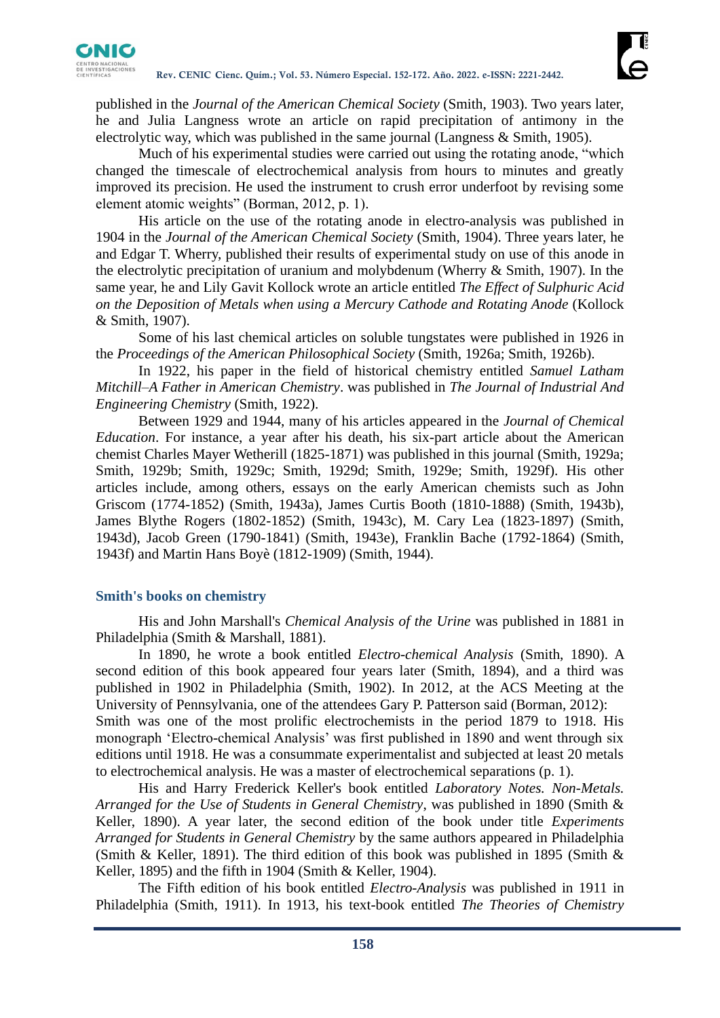

published in the *Journal of the American Chemical Society* (Smith, 1903). Two years later, he and Julia Langness wrote an article on rapid precipitation of antimony in the electrolytic way, which was published in the same journal (Langness & Smith, 1905).

Much of his experimental studies were carried out using the rotating anode, "which changed the timescale of electrochemical analysis from hours to minutes and greatly improved its precision. He used the instrument to crush error underfoot by revising some element atomic weights" (Borman, 2012, p. 1).

His article on the use of the rotating anode in electro-analysis was published in 1904 in the *Journal of the American Chemical Society* (Smith, 1904). Three years later, he and Edgar T. Wherry, published their results of experimental study on use of this anode in the electrolytic precipitation of uranium and molybdenum (Wherry & Smith, 1907). In the same year, he and Lily Gavit Kollock wrote an article entitled *The Effect of Sulphuric Acid on the Deposition of Metals when using a Mercury Cathode and Rotating Anode* (Kollock & Smith, 1907).

Some of his last chemical articles on soluble tungstates were published in 1926 in the *Proceedings of the American Philosophical Society* (Smith, 1926a; Smith, 1926b).

In 1922, his paper in the field of historical chemistry entitled *Samuel Latham Mitchill–A Father in American Chemistry*. was published in *The Journal of Industrial And Engineering Chemistry* (Smith, 1922).

Between 1929 and 1944, many of his articles appeared in the *Journal of Chemical Education*. For instance, a year after his death, his six-part article about the American chemist Charles Mayer Wetherill (1825-1871) was published in this journal (Smith, 1929a; Smith, 1929b; Smith, 1929c; Smith, 1929d; Smith, 1929e; Smith, 1929f). His other articles include, among others, essays on the early American chemists such as John Griscom (1774-1852) (Smith, 1943a), James Curtis Booth (1810-1888) (Smith, 1943b), James Blythe Rogers (1802-1852) (Smith, 1943c), M. Cary Lea (1823-1897) (Smith, 1943d), Jacob Green (1790-1841) (Smith, 1943e), Franklin Bache (1792-1864) (Smith, 1943f) and Martin Hans Boyè (1812-1909) (Smith, 1944).

#### **Smith's books on chemistry**

His and John Marshall's *Chemical Analysis of the Urine* was published in 1881 in Philadelphia (Smith & Marshall, 1881).

In 1890, he wrote a book entitled *Electro-chemical Analysis* (Smith, 1890). A second edition of this book appeared four years later (Smith, 1894), and a third was published in 1902 in Philadelphia (Smith, 1902). In 2012, at the ACS Meeting at the University of Pennsylvania, one of the attendees Gary P. Patterson said (Borman, 2012): Smith was one of the most prolific electrochemists in the period 1879 to 1918. His monograph 'Electro-chemical Analysis' was first published in 1890 and went through six editions until 1918. He was a consummate experimentalist and subjected at least 20 metals to electrochemical analysis. He was a master of electrochemical separations (p. 1).

His and Harry Frederick Keller's book entitled *Laboratory Notes. Non-Metals. Arranged for the Use of Students in General Chemistry*, was published in 1890 (Smith & Keller, 1890). A year later, the second edition of the book under title *Experiments Arranged for Students in General Chemistry* by the same authors appeared in Philadelphia (Smith & Keller, 1891). The third edition of this book was published in 1895 (Smith & Keller, 1895) and the fifth in 1904 (Smith & Keller, 1904).

The Fifth edition of his book entitled *Electro-Analysis* was published in 1911 in Philadelphia (Smith, 1911). In 1913, his text-book entitled *The Theories of Chemistry*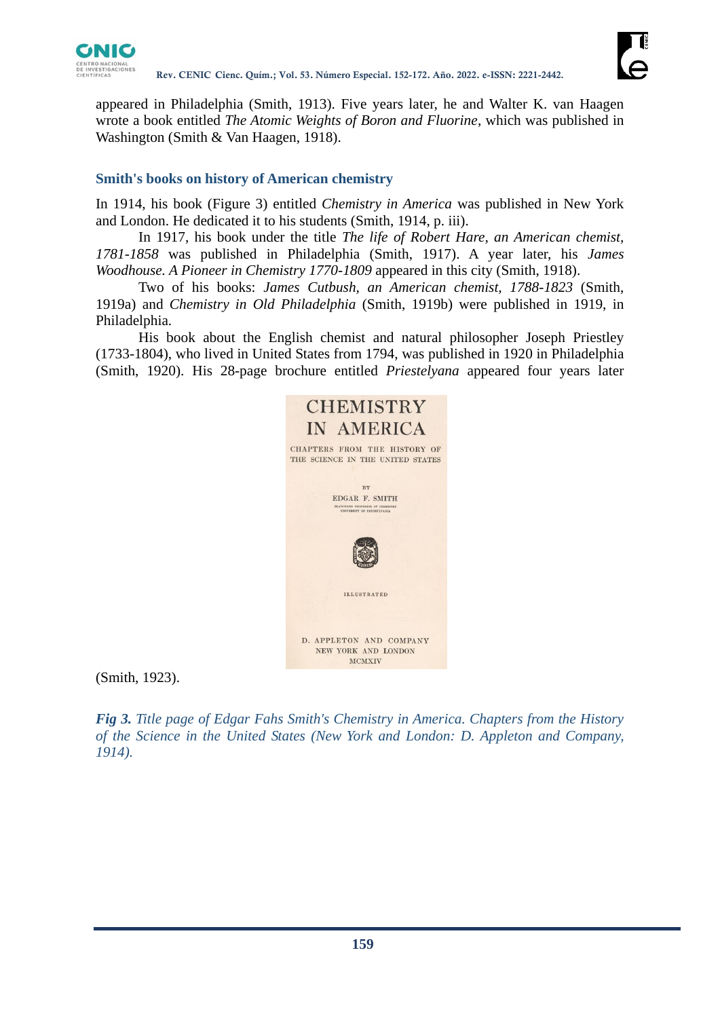



appeared in Philadelphia (Smith, 1913). Five years later, he and Walter K. van Haagen wrote a book entitled *The Atomic Weights of Boron and Fluorine*, which was published in Washington (Smith & Van Haagen, 1918).

# **Smith's books on history of American chemistry**

In 1914, his book (Figure 3) entitled *Chemistry in America* was published in New York and London. He dedicated it to his students (Smith, 1914, p. iii).

In 1917, his book under the title *The life of Robert Hare, an American chemist, 1781-1858* was published in Philadelphia (Smith, 1917). A year later, his *James Woodhouse. A Pioneer in Chemistry 1770-1809* appeared in this city (Smith, 1918).

Two of his books: *James Cutbush, an American chemist, 1788-1823* (Smith, 1919a) and *Chemistry in Old Philadelphia* (Smith, 1919b) were published in 1919, in Philadelphia.

His book about the English chemist and natural philosopher Joseph Priestley (1733-1804), who lived in United States from 1794, was published in 1920 in Philadelphia (Smith, 1920). His 28-page brochure entitled *Priestelyana* appeared four years later



(Smith, 1923).

*Fig 3. Title page of Edgar Fahs Smith's Chemistry in America. Chapters from the History of the Science in the United States (New York and London: D. Appleton and Company, 1914).*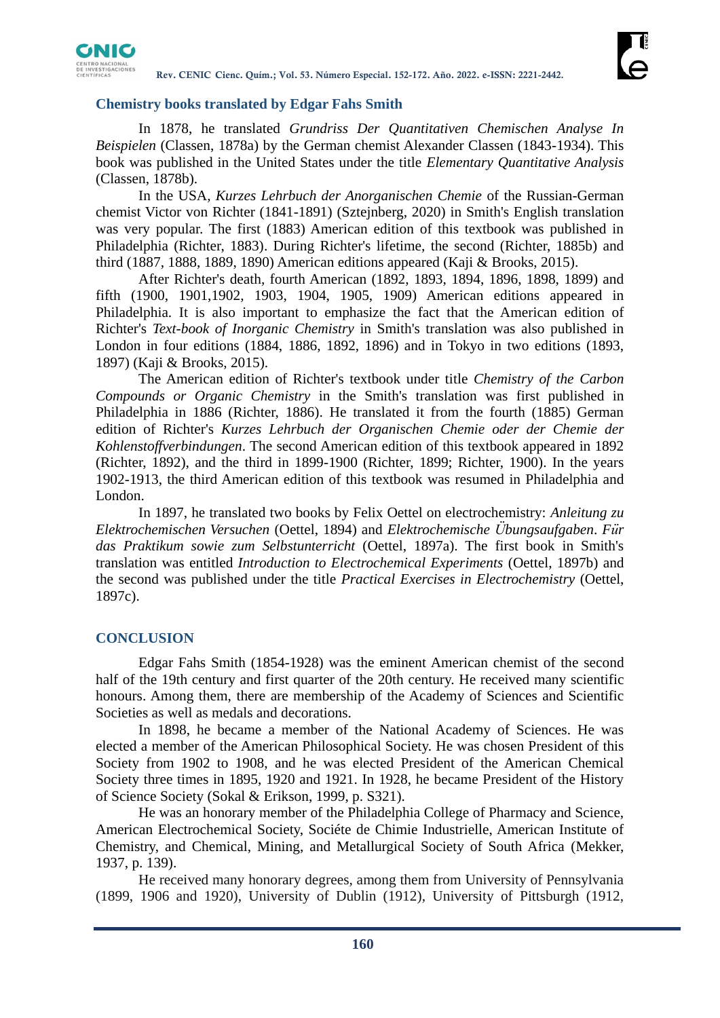

## **Chemistry books translated by Edgar Fahs Smith**

In 1878, he translated *Grundriss Der Quantitativen Chemischen Analyse In Beispielen* (Classen, 1878a) by the German chemist Alexander Classen (1843-1934). This book was published in the United States under the title *Elementary Quantitative Analysis*  (Classen, 1878b).

In the USA*, Kurzes Lehrbuch der Anorganischen Chemie* of the Russian-German chemist Victor von Richter (1841-1891) (Sztejnberg, 2020) in Smith's English translation was very popular. The first (1883) American edition of this textbook was published in Philadelphia (Richter, 1883). During Richter's lifetime, the second (Richter, 1885b) and third (1887, 1888, 1889, 1890) American editions appeared (Kaji & Brooks, 2015).

After Richter's death, fourth American (1892, 1893, 1894, 1896, 1898, 1899) and fifth (1900, 1901,1902, 1903, 1904, 1905, 1909) American editions appeared in Philadelphia. It is also important to emphasize the fact that the American edition of Richter's *Text-book of Inorganic Chemistry* in Smith's translation was also published in London in four editions (1884, 1886, 1892, 1896) and in Tokyo in two editions (1893, 1897) (Kaji & Brooks, 2015).

The American edition of Richter's textbook under title *Chemistry of the Carbon Compounds or Organic Chemistry* in the Smith's translation was first published in Philadelphia in 1886 (Richter, 1886). He translated it from the fourth (1885) German edition of Richter's *Kurzes Lehrbuch der Organischen Chemie oder der Chemie der Kohlenstoffverbindungen*. The second American edition of this textbook appeared in 1892 (Richter, 1892), and the third in 1899-1900 (Richter, 1899; Richter, 1900). In the years 1902-1913, the third American edition of this textbook was resumed in Philadelphia and London.

In 1897, he translated two books by Felix Oettel on electrochemistry: *Anleitung zu Elektrochemischen Versuchen* (Oettel, 1894) and *Elektrochemische Übungsaufgaben*. *Für das Praktikum sowie zum Selbstunterricht* (Oettel, 1897a). The first book in Smith's translation was entitled *Introduction to Electrochemical Experiments* (Oettel, 1897b) and the second was published under the title *Practical Exercises in Electrochemistry* (Oettel, 1897c).

# **CONCLUSION**

Edgar Fahs Smith (1854-1928) was the eminent American chemist of the second half of the 19th century and first quarter of the 20th century. He received many scientific honours. Among them, there are membership of the Academy of Sciences and Scientific Societies as well as medals and decorations.

In 1898, he became a member of the National Academy of Sciences. He was elected a member of the American Philosophical Society. He was chosen President of this Society from 1902 to 1908, and he was elected President of the American Chemical Society three times in 1895, 1920 and 1921. In 1928, he became President of the History of Science Society (Sokal & Erikson, 1999, p. S321).

He was an honorary member of the Philadelphia College of Pharmacy and Science, American Electrochemical Society, Sociéte de Chimie Industrielle, American Institute of Chemistry, and Chemical, Mining, and Metallurgical Society of South Africa (Mekker, 1937, p. 139).

He received many honorary degrees, among them from University of Pennsylvania (1899, 1906 and 1920), University of Dublin (1912), University of Pittsburgh (1912,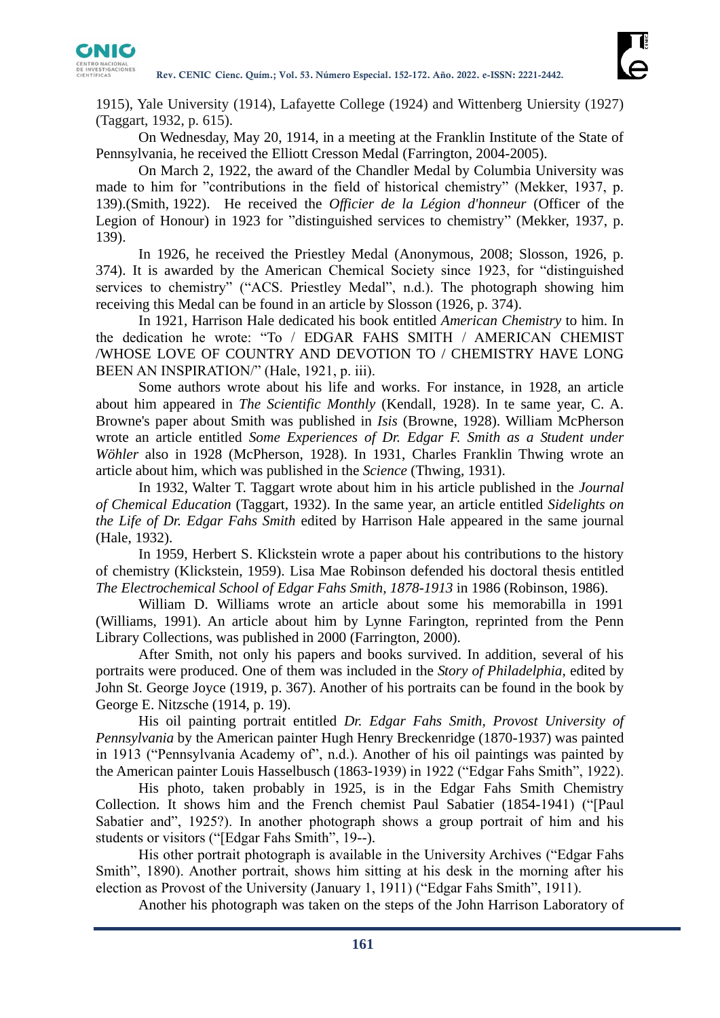

1915), Yale University (1914), Lafayette College (1924) and Wittenberg Uniersity (1927) (Taggart, 1932, p. 615).

On Wednesday, May 20, 1914, in a meeting at the Franklin Institute of the State of Pennsylvania, he received the Elliott Cresson Medal (Farrington, 2004-2005).

On March 2, 1922, the award of the Chandler Medal by Columbia University was made to him for "contributions in the field of historical chemistry" (Mekker, 1937, p. 139).(Smith, 1922). He received the *Officier de la Légion d'honneur* (Officer of the Legion of Honour) in 1923 for "distinguished services to chemistry" (Mekker, 1937, p. 139).

In 1926, he received the Priestley Medal (Anonymous, 2008; Slosson, 1926, p. 374). It is awarded by the American Chemical Society since 1923, for "distinguished services to chemistry" ("ACS. Priestley Medal", n.d.). The photograph showing him receiving this Medal can be found in an article by Slosson (1926, p. 374).

In 1921, Harrison Hale dedicated his book entitled *American Chemistry* to him. In the dedication he wrote: "To / EDGAR FAHS SMITH / AMERICAN CHEMIST /WHOSE LOVE OF COUNTRY AND DEVOTION TO / CHEMISTRY HAVE LONG BEEN AN INSPIRATION/" (Hale, 1921, p. iii).

Some authors wrote about his life and works. For instance, in 1928, an article about him appeared in *The Scientific Monthly* (Kendall, 1928). In te same year, C. A. Browne's paper about Smith was published in *Isis* (Browne, 1928). William McPherson wrote an article entitled *Some Experiences of Dr. Edgar F. Smith as a Student under Wöhler* also in 1928 (McPherson, 1928). In 1931, Charles Franklin Thwing wrote an article about him, which was published in the *Science* (Thwing, 1931).

In 1932, Walter T. Taggart wrote about him in his article published in the *Journal of Chemical Education* (Taggart, 1932). In the same year, an article entitled *Sidelights on the Life of Dr. Edgar Fahs Smith* edited by Harrison Hale appeared in the same journal (Hale, 1932).

In 1959, Herbert S. Klickstein wrote a paper about his contributions to the history of chemistry (Klickstein, 1959). Lisa Mae Robinson defended his doctoral thesis entitled *The Electrochemical School of Edgar Fahs Smith, 1878-1913* in 1986 (Robinson, 1986).

William D. Williams wrote an article about some his memorabilla in 1991 (Williams, 1991). An article about him by Lynne Farington, reprinted from the Penn Library Collections, was published in 2000 (Farrington, 2000).

After Smith, not only his papers and books survived. In addition, several of his portraits were produced. One of them was included in the *Story of Philadelphia*, edited by John St. George Joyce (1919, p. 367). Another of his portraits can be found in the book by George E. Nitzsche (1914, p. 19).

His oil painting portrait entitled *Dr. Edgar Fahs Smith, Provost University of Pennsylvania* by the American painter Hugh Henry Breckenridge (1870-1937) was painted in 1913 ("Pennsylvania Academy of", n.d.). Another of his oil paintings was painted by the American painter Louis Hasselbusch (1863-1939) in 1922 ("Edgar Fahs Smith", 1922).

His photo, taken probably in 1925, is in the Edgar Fahs Smith Chemistry Collection. It shows him and the French chemist Paul Sabatier (1854-1941) ("[Paul Sabatier and", 1925?). In another photograph shows a group portrait of him and his students or visitors ("[Edgar Fahs Smith", 19--).

His other portrait photograph is available in the University Archives ("Edgar Fahs Smith", 1890). Another portrait, shows him sitting at his desk in the morning after his election as Provost of the University (January 1, 1911) ("Edgar Fahs Smith", 1911).

Another his photograph was taken on the steps of the John Harrison Laboratory of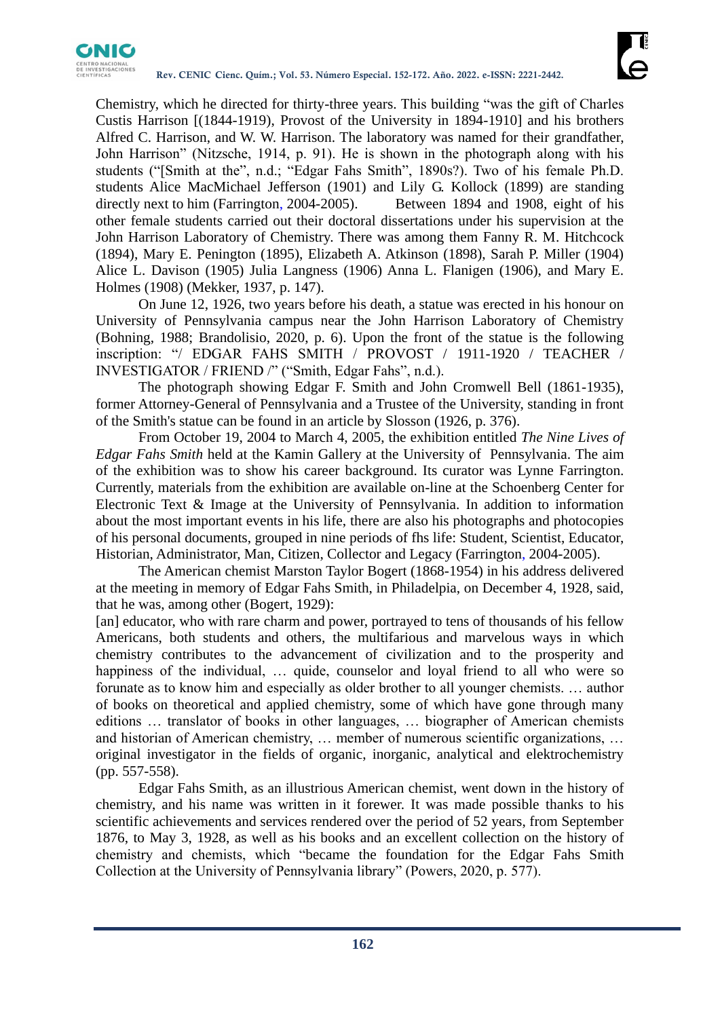

Chemistry, which he directed for thirty-three years. This building "was the gift of Charles Custis Harrison [(1844-1919), Provost of the University in 1894-1910] and his brothers Alfred C. Harrison, and W. W. Harrison. The laboratory was named for their grandfather, John Harrison" (Nitzsche, 1914, p. 91). He is shown in the photograph along with his students ("[Smith at the", n.d.; "Edgar Fahs Smith", 1890s?). Two of his female Ph.D. students Alice MacMichael Jefferson (1901) and Lily G. Kollock (1899) are standing directly next to him (Farrington, 2004-2005). Between 1894 and 1908, eight of his other female students carried out their doctoral dissertations under his supervision at the John Harrison Laboratory of Chemistry. There was among them Fanny R. M. Hitchcock (1894), Mary E. Penington (1895), Elizabeth A. Atkinson (1898), Sarah P. Miller (1904) Alice L. Davison (1905) Julia Langness (1906) Anna L. Flanigen (1906), and Mary E. Holmes (1908) (Mekker, 1937, p. 147).

On June 12, 1926, two years before his death, a statue was erected in his honour on University of Pennsylvania campus near the John Harrison Laboratory of Chemistry (Bohning, 1988; Brandolisio, 2020, p. 6). Upon the front of the statue is the following inscription: "/ EDGAR FAHS SMITH / PROVOST / 1911-1920 / TEACHER / INVESTIGATOR / FRIEND /" ("Smith, Edgar Fahs", n.d.).

The photograph showing Edgar F. Smith and John Cromwell Bell (1861-1935), former Attorney-General of Pennsylvania and a Trustee of the University, standing in front of the Smith's statue can be found in an article by Slosson (1926, p. 376).

From October 19, 2004 to March 4, 2005, the exhibition entitled *The Nine Lives of Edgar Fahs Smith* held at the Kamin Gallery at the University of Pennsylvania. The aim of the exhibition was to show his career background. Its curator was Lynne Farrington. Currently, materials from the exhibition are available on-line at the Schoenberg Center for Electronic Text & Image at the University of Pennsylvania. In addition to information about the most important events in his life, there are also his photographs and photocopies of his personal documents, grouped in nine periods of fhs life: Student, Scientist, Educator, Historian, Administrator, Man, Citizen, Collector and Legacy (Farrington, 2004-2005).

The American chemist Marston Taylor Bogert (1868-1954) in his address delivered at the meeting in memory of Edgar Fahs Smith, in Philadelpia, on December 4, 1928, said, that he was, among other (Bogert, 1929):

[an] educator, who with rare charm and power, portrayed to tens of thousands of his fellow Americans, both students and others, the multifarious and marvelous ways in which chemistry contributes to the advancement of civilization and to the prosperity and happiness of the individual, ... quide, counselor and loyal friend to all who were so forunate as to know him and especially as older brother to all younger chemists. … author of books on theoretical and applied chemistry, some of which have gone through many editions … translator of books in other languages, … biographer of American chemists and historian of American chemistry, … member of numerous scientific organizations, … original investigator in the fields of organic, inorganic, analytical and elektrochemistry (pp. 557-558).

Edgar Fahs Smith, as an illustrious American chemist, went down in the history of chemistry, and his name was written in it forewer. It was made possible thanks to his scientific achievements and services rendered over the period of 52 years, from September 1876, to May 3, 1928, as well as his books and an excellent collection on the history of chemistry and chemists, which "became the foundation for the Edgar Fahs Smith Collection at the University of Pennsylvania library" (Powers, 2020, p. 577).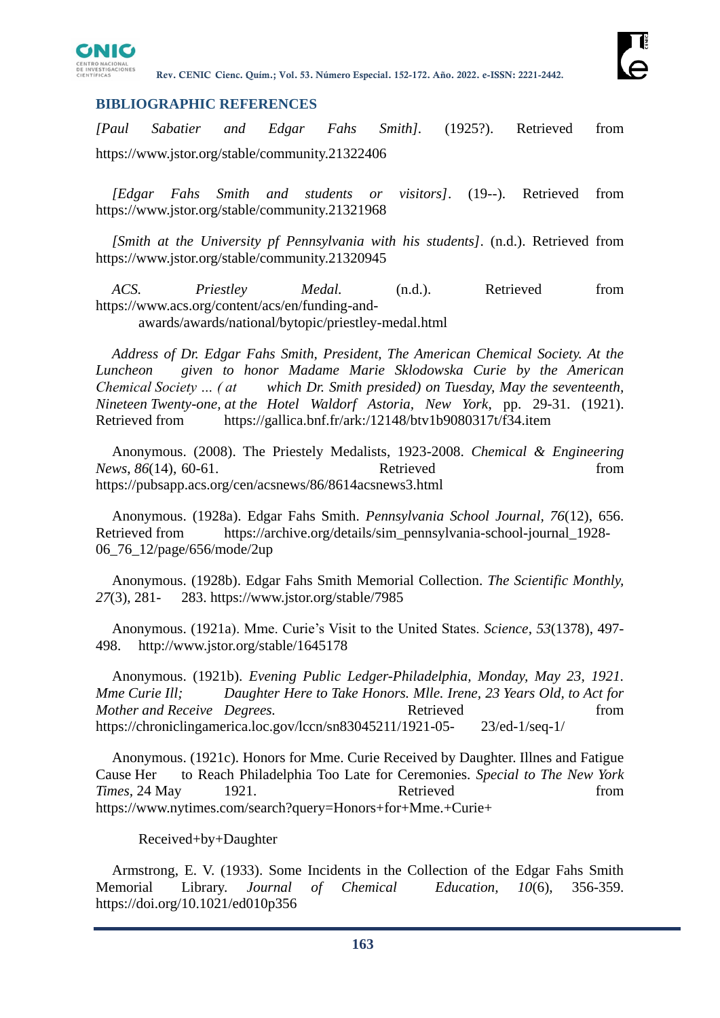

## **BIBLIOGRAPHIC REFERENCES**

*[Paul Sabatier and Edgar Fahs Smith].* (1925?). Retrieved from https://www.jstor.org/stable/community.21322406

*[Edgar Fahs Smith and students or visitors]*. (19--). Retrieved from https://www.jstor.org/stable/community.21321968

*[Smith at the University pf Pennsylvania with his students]*. (n.d.). Retrieved from https://www.jstor.org/stable/community.21320945

*ACS. Priestley Medal.* (n.d.). Retrieved from https://www.acs.org/content/acs/en/funding-andawards/awards/national/bytopic/priestley-medal.html

*Address of Dr. Edgar Fahs Smith, President, The American Chemical Society. At the Luncheon given to honor Madame Marie Sklodowska Curie by the American Chemical Society … ( at which Dr. Smith presided) on Tuesday, May the seventeenth, Nineteen Twenty-one, at the Hotel Waldorf Astoria, New York*, pp. 29-31. (1921). Retrieved from https://gallica.bnf.fr/ark:/12148/btv1b9080317t/f34.item

Anonymous. (2008). The Priestely Medalists, 1923-2008. *Chemical & Engineering News*, *86*(14), 60-61. Retrieved from https://pubsapp.acs.org/cen/acsnews/86/8614acsnews3.html

Anonymous. (1928a). Edgar Fahs Smith. *Pennsylvania School Journal, 76*(12), 656. Retrieved from https://archive.org/details/sim\_pennsylvania-school-journal\_1928- 06\_76\_12/page/656/mode/2up

Anonymous. (1928b). Edgar Fahs Smith Memorial Collection. *The Scientific Monthly, 27*(3), 281- 283. https://www.jstor.org/stable/7985

Anonymous. (1921a). Mme. Curie's Visit to the United States. *Science*, *53*(1378), 497- 498. http://www.jstor.org/stable/1645178

Anonymous. (1921b). *Evening Public Ledger-Philadelphia, Monday, May 23, 1921. Mme Curie Ill; Daughter Here to Take Honors. Mlle. Irene, 23 Years Old, to Act for Mother and Receive Degrees.* **Retrieved Retrieved** *Retrieved Retrieved Retrieved Retrieved Retrieved Retrieved Retrieved Retrieved Retrieved Retrieved Retrieved Retrieved* https://chroniclingamerica.loc.gov/lccn/sn83045211/1921-05- 23/ed-1/seq-1/

Anonymous. (1921c). Honors for Mme. Curie Received by Daughter. Illnes and Fatigue Cause Her to Reach Philadelphia Too Late for Ceremonies. *Special to The New York Times,* 24 May 1921. **Retrieved** from https://www.nytimes.com/search?query=Honors+for+Mme.+Curie+

Received+by+Daughter

Armstrong, E. V. (1933). Some Incidents in the Collection of the Edgar Fahs Smith Memorial Library. *Journal of Chemical Education, 10*(6), 356-359. https://doi.org/10.1021/ed010p356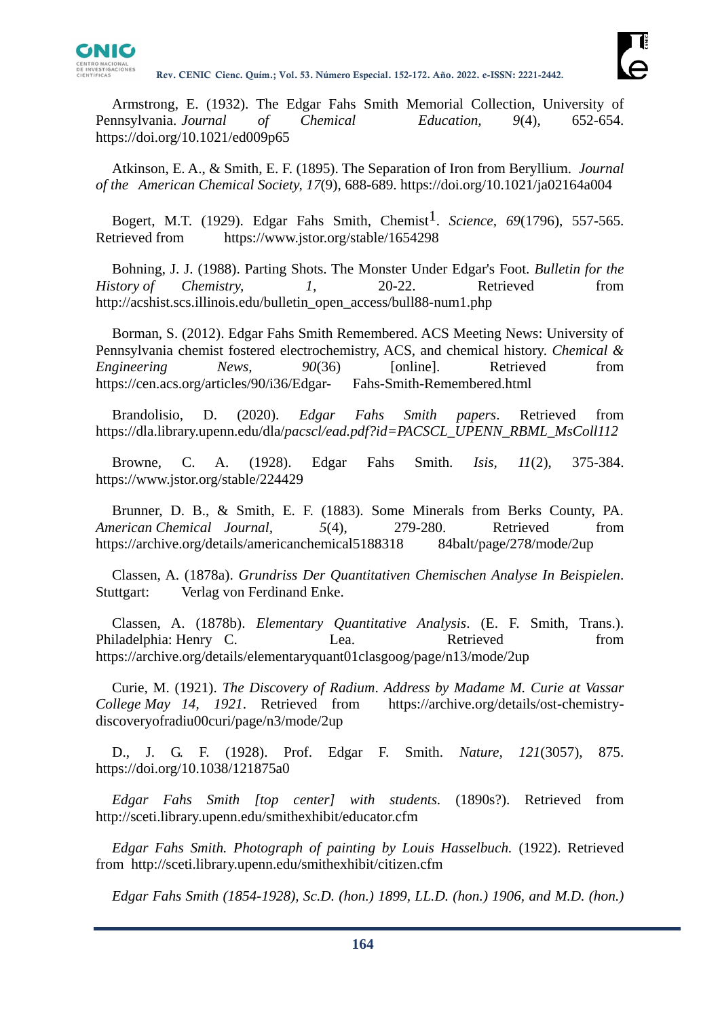

Armstrong, E. (1932). The Edgar Fahs Smith Memorial Collection, University of Pennsylvania. *Journal of Chemical Education, 9*(4), 652-654. https://doi.org/10.1021/ed009p65

Atkinson, E. A., & Smith, E. F. (1895). The Separation of Iron from Beryllium. *Journal of the American Chemical Society, 17*(9), 688-689. https://doi.org/10.1021/ja02164a004

Bogert, M.T. (1929). Edgar Fahs Smith, Chemist<sup>1</sup>. *Science*, 69(1796), 557-565. Retrieved from https://www.jstor.org/stable/1654298

Bohning, J. J. (1988). Parting Shots. The Monster Under Edgar's Foot. *Bulletin for the History of Chemistry, 1,* 20-22. Retrieved from http://acshist.scs.illinois.edu/bulletin\_open\_access/bull88-num1.php

Borman, S. (2012). Edgar Fahs Smith Remembered. ACS Meeting News: University of Pennsylvania chemist fostered electrochemistry, ACS, and chemical history. *Chemical & Engineering News,* 90(36) [online]. Retrieved from https://cen.acs.org/articles/90/i36/Edgar- Fahs-Smith-Remembered.html

Brandolisio, D. (2020). *Edgar Fahs Smith papers*. Retrieved from https://dla.library.upenn.edu/dla/*pacscl/ead.pdf?id=PACSCL\_UPENN\_RBML\_MsColl112*

Browne, C. A. (1928). Edgar Fahs Smith. *Isis, 11*(2), 375-384. https://www.jstor.org/stable/224429

Brunner, D. B., & Smith, E. F. (1883). Some Minerals from Berks County, PA. *American Chemical Journal, 5*(4), 279-280. Retrieved from https://archive.org/details/americanchemical5188318 84balt/page/278/mode/2up

Classen, A. (1878a). *Grundriss Der Quantitativen Chemischen Analyse In Beispielen*. Stuttgart: Verlag von Ferdinand Enke.

Classen, A. (1878b). *Elementary Quantitative Analysis*. (E. F. Smith, Trans.). Philadelphia: Henry C. Lea. Retrieved from https://archive.org/details/elementaryquant01clasgoog/page/n13/mode/2up

Curie, M. (1921). *The Discovery of Radium*. *Address by Madame M. Curie at Vassar College May 14, 1921*. Retrieved from https://archive.org/details/ost-chemistrydiscoveryofradiu00curi/page/n3/mode/2up

D., J. G. F. (1928). Prof. Edgar F. Smith. *Nature, 121*(3057), 875. https://doi.org/10.1038/121875a0

*Edgar Fahs Smith [top center] with students.* (1890s?). Retrieved from http://sceti.library.upenn.edu/smithexhibit/educator.cfm

*Edgar Fahs Smith. Photograph of painting by Louis Hasselbuch.* (1922). Retrieved from http://sceti.library.upenn.edu/smithexhibit/citizen.cfm

*Edgar Fahs Smith (1854-1928), Sc.D. (hon.) 1899, LL.D. (hon.) 1906, and M.D. (hon.)*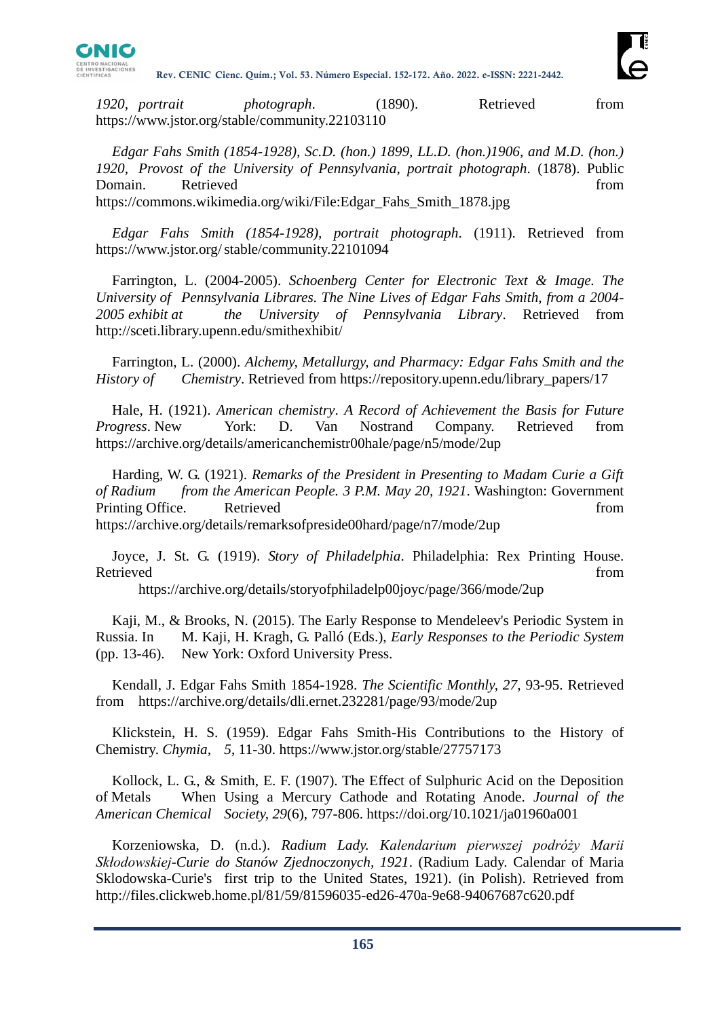

*1920, portrait photograph*. (1890). Retrieved from https://www.jstor.org/stable/community.22103110

*Edgar Fahs Smith (1854-1928), Sc.D. (hon.) 1899, LL.D. (hon.)1906, and M.D. (hon.) 1920, Provost of the University of Pennsylvania, portrait photograph*. (1878). Public Domain. Retrieved from the set of the set of the set of the set of the set of the set of the set of the set of the set of the set of the set of the set of the set of the set of the set of the set of the set of the set of t https://commons.wikimedia.org/wiki/File:Edgar\_Fahs\_Smith\_1878.jpg

*Edgar Fahs Smith (1854-1928), portrait photograph*. (1911). Retrieved from https://www.jstor.org/stable/community.22101094

Farrington, L. (2004-2005). *Schoenberg Center for Electronic Text & Image. The University of Pennsylvania Librares. The Nine Lives of Edgar Fahs Smith, from a 2004- 2005 exhibit at the University of Pennsylvania Library*. Retrieved from http://sceti.library.upenn.edu/smithexhibit/

Farrington, L. (2000). *Alchemy, Metallurgy, and Pharmacy: Edgar Fahs Smith and the History of Chemistry*. Retrieved from https://repository.upenn.edu/library\_papers/17

Hale, H. (1921). *American chemistry*. *A Record of Achievement the Basis for Future Progress*. New York: D. Van Nostrand Company. Retrieved from https://archive.org/details/americanchemistr00hale/page/n5/mode/2up

Harding, W. G. (1921). *Remarks of the President in Presenting to Madam Curie a Gift of Radium from the American People. 3 P.M. May 20, 1921*. Washington: Government Printing Office. Retrieved from the set of the set of the set of the set of the set of the set of the set of the set of the set of the set of the set of the set of the set of the set of the set of the set of the set of the https://archive.org/details/remarksofpreside00hard/page/n7/mode/2up

Joyce, J. St. G. (1919). *Story of Philadelphia*. Philadelphia: Rex Printing House. Retrieved from the state of the state of the state of the state of the state of the state of the state of the state of the state of the state of the state of the state of the state of the state of the state of the state of

https://archive.org/details/storyofphiladelp00joyc/page/366/mode/2up

Kaji, M., & Brooks, N. (2015). The Early Response to Mendeleev's Periodic System in Russia. In M. Kaji, H. Kragh, G. Palló (Eds.), *Early Responses to the Periodic System*  (pp. 13-46). New York: Oxford University Press.

Kendall, J. Edgar Fahs Smith 1854-1928. *The Scientific Monthly, 27,* 93-95. Retrieved from https://archive.org/details/dli.ernet.232281/page/93/mode/2up

Klickstein, H. S. (1959). Edgar Fahs Smith-His Contributions to the History of Chemistry. *Chymia, 5*, 11-30. https://www.jstor.org/stable/27757173

Kollock, L. G., & Smith, E. F. (1907). The Effect of Sulphuric Acid on the Deposition of Metals When Using a Mercury Cathode and Rotating Anode. *Journal of the American Chemical Society, 29*(6), 797-806. https://doi.org/10.1021/ja01960a001

Korzeniowska, D. (n.d.). *Radium Lady. Kalendarium pierwszej podróży Marii Skłodowskiej-Curie do Stanów Zjednoczonych, 1921*. (Radium Lady. Calendar of Maria Sklodowska-Curie's first trip to the United States, 1921). (in Polish). Retrieved from http://files.clickweb.home.pl/81/59/81596035-ed26-470a-9e68-94067687c620.pdf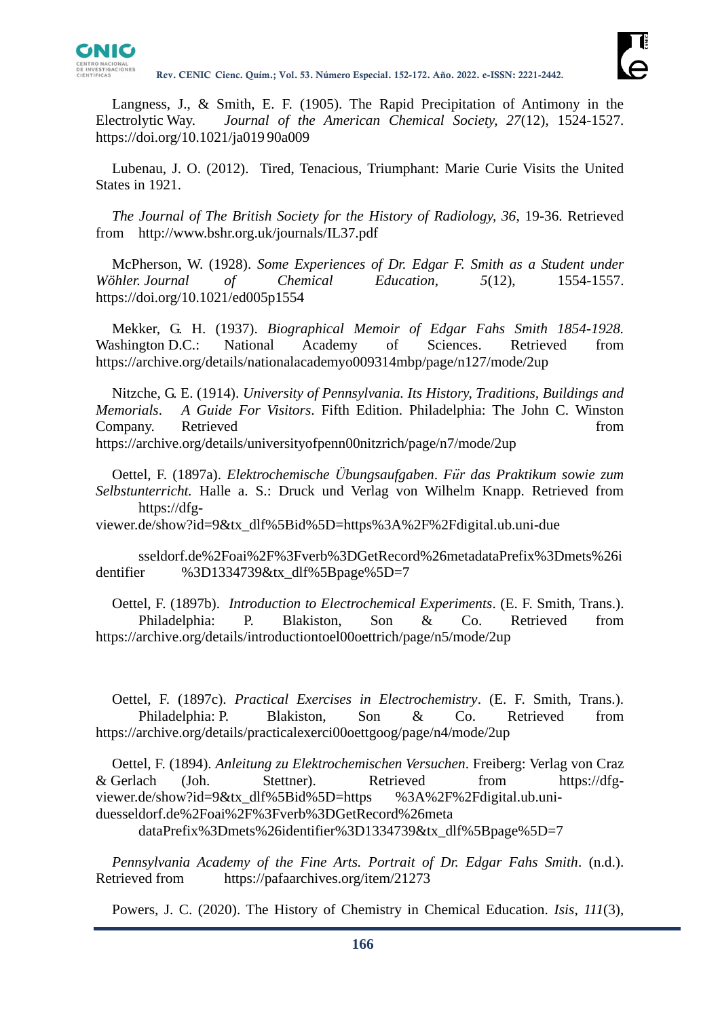

Langness, J., & Smith, E. F. (1905). The Rapid Precipitation of Antimony in the Electrolytic Way. *Journal of the American Chemical Society, 27*(12), 1524-1527. https://doi.org/10.1021/ja019 90a009

Lubenau, J. O. (2012). Tired, Tenacious, Triumphant: Marie Curie Visits the United States in 1921.

*The Journal of The British Society for the History of Radiology, 36*, 19-36. Retrieved from http://www.bshr.org.uk/journals/IL37.pdf

McPherson, W. (1928). *Some Experiences of Dr. Edgar F. Smith as a Student under Wöhler. Journal of Chemical Education, 5*(12), 1554-1557. https://doi.org/10.1021/ed005p1554

Mekker, G. H. (1937). *Biographical Memoir of Edgar Fahs Smith 1854-1928.*  Washington D.C.: National Academy of Sciences. Retrieved from https://archive.org/details/nationalacademyo009314mbp/page/n127/mode/2up

Nitzche, G. E. (1914). *University of Pennsylvania. Its History, Traditions, Buildings and Memorials*. *A Guide For Visitors*. Fifth Edition. Philadelphia: The John C. Winston Company. Retrieved from the set of the set of the set of the set of the set of the set of the set of the set of the set of the set of the set of the set of the set of the set of the set of the set of the set of the set of https://archive.org/details/universityofpenn00nitzrich/page/n7/mode/2up

Oettel, F. (1897a). *Elektrochemische Übungsaufgaben*. *Für das Praktikum sowie zum Selbstunterricht.* Halle a. S.: Druck und Verlag von Wilhelm Knapp. Retrieved from https://dfg-

viewer.de/show?id=9&tx\_dlf%5Bid%5D=https%3A%2F%2Fdigital.ub.uni-due

sseldorf.de%2Foai%2F%3Fverb%3DGetRecord%26metadataPrefix%3Dmets%26i dentifier %3D1334739&tx\_dlf%5Bpage%5D=7

Oettel, F. (1897b). *Introduction to Electrochemical Experiments*. (E. F. Smith, Trans.). Philadelphia: P. Blakiston, Son & Co. Retrieved from https://archive.org/details/introductiontoel00oettrich/page/n5/mode/2up

Oettel, F. (1897c). *Practical Exercises in Electrochemistry*. (E. F. Smith, Trans.). Philadelphia: P. Blakiston, Son & Co. Retrieved from https://archive.org/details/practicalexerci00oettgoog/page/n4/mode/2up

Oettel, F. (1894). *Anleitung zu Elektrochemischen Versuchen*. Freiberg: Verlag von Craz & Gerlach (Joh. Stettner). Retrieved from https://dfgviewer.de/show?id=9&tx\_dlf%5Bid%5D=https %3A%2F%2Fdigital.ub.uniduesseldorf.de%2Foai%2F%3Fverb%3DGetRecord%26meta

dataPrefix%3Dmets%26identifier%3D1334739&tx\_dlf%5Bpage%5D=7

*Pennsylvania Academy of the Fine Arts. Portrait of Dr. Edgar Fahs Smith*. (n.d.). Retrieved from https://pafaarchives.org/item/21273

Powers, J. C. (2020). The History of Chemistry in Chemical Education. *Isis*, *111*(3),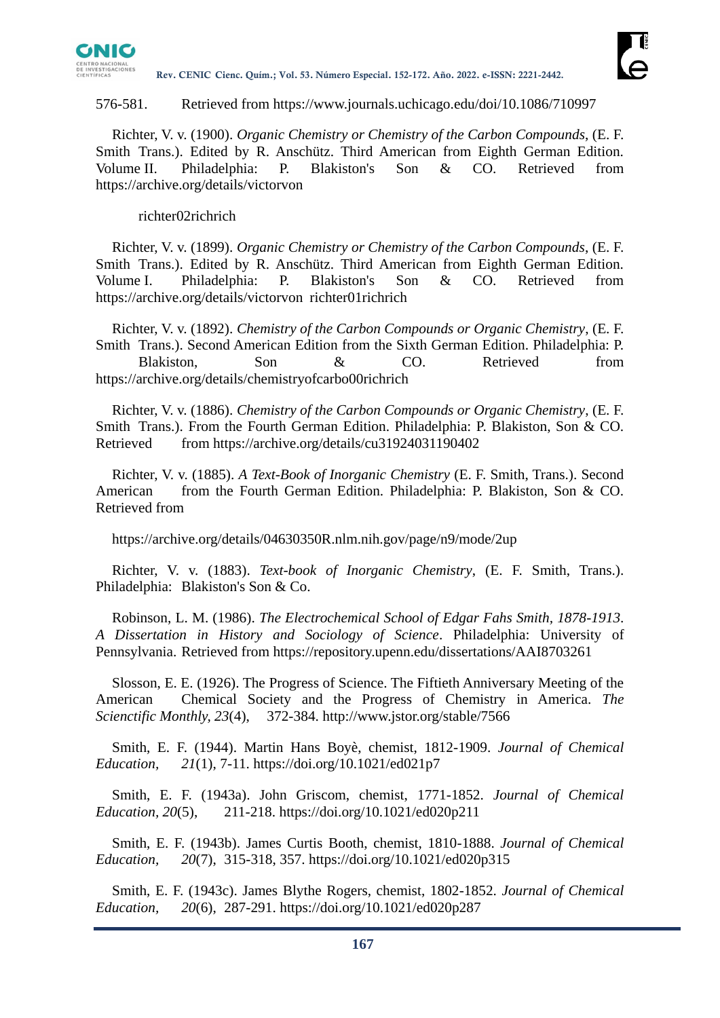

#### 576-581. Retrieved from https://www.journals.uchicago.edu/doi/10.1086/710997

Richter, V. v. (1900). *Organic Chemistry or Chemistry of the Carbon Compounds*, (E. F. Smith Trans.). Edited by R. Anschütz. Third American from Eighth German Edition. Volume II. Philadelphia: P. Blakiston's Son & CO. Retrieved from https://archive.org/details/victorvon

### richter02richrich

Richter, V. v. (1899). *Organic Chemistry or Chemistry of the Carbon Compounds*, (E. F. Smith Trans.). Edited by R. Anschütz. Third American from Eighth German Edition. Volume I. Philadelphia: P. Blakiston's Son & CO. Retrieved from https://archive.org/details/victorvon richter01richrich

Richter, V. v. (1892). *Chemistry of the Carbon Compounds or Organic Chemistry*, (E. F. Smith Trans.). Second American Edition from the Sixth German Edition. Philadelphia: P. Blakiston. Son & CO. Retrieved from https://archive.org/details/chemistryofcarbo00richrich

Richter, V. v. (1886). *Chemistry of the Carbon Compounds or Organic Chemistry*, (E. F. Smith Trans.). From the Fourth German Edition. Philadelphia: P. Blakiston, Son & CO. Retrieved from https://archive.org/details/cu31924031190402

Richter, V. v. (1885). *A Text-Book of Inorganic Chemistry* (E. F. Smith, Trans.). Second American from the Fourth German Edition. Philadelphia: P. Blakiston, Son & CO. Retrieved from

https://archive.org/details/04630350R.nlm.nih.gov/page/n9/mode/2up

Richter, V. v. (1883). *Text-book of Inorganic Chemistry*, (E. F. Smith, Trans.). Philadelphia: Blakiston's Son & Co.

Robinson, L. M. (1986). *The Electrochemical School of Edgar Fahs Smith, 1878-1913*. *A Dissertation in History and Sociology of Science*. Philadelphia: University of Pennsylvania. Retrieved from https://repository.upenn.edu/dissertations/AAI8703261

Slosson, E. E. (1926). The Progress of Science. The Fiftieth Anniversary Meeting of the American Chemical Society and the Progress of Chemistry in America. *The Scienctific Monthly, 23*(4), 372-384. http://www.jstor.org/stable/7566

Smith, E. F. (1944). Martin Hans Boyè, chemist, 1812-1909. *Journal of Chemical Education, 21*(1), 7-11. https://doi.org/10.1021/ed021p7

Smith, E. F. (1943a). John Griscom, chemist, 1771-1852. *Journal of Chemical Education, 20*(5), 211-218. https://doi.org/10.1021/ed020p211

Smith, E. F. (1943b). James Curtis Booth, chemist, 1810-1888. *Journal of Chemical Education, 20*(7), 315-318, 357. https://doi.org/10.1021/ed020p315

Smith, E. F. (1943c). James Blythe Rogers, chemist, 1802-1852. *Journal of Chemical Education, 20*(6), 287-291. https://doi.org/10.1021/ed020p287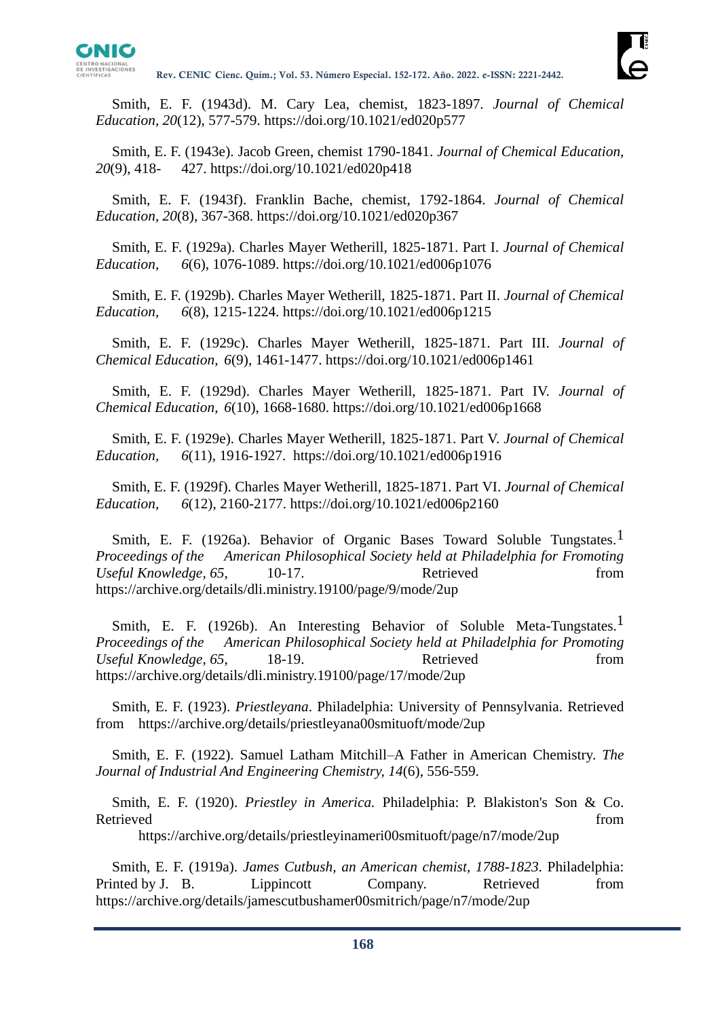

Smith, E. F. (1943d). M. Cary Lea, chemist, 1823-1897. *Journal of Chemical Education, 20*(12), 577-579. https://doi.org/10.1021/ed020p577

Smith, E. F. (1943e). Jacob Green, chemist 1790-1841. *Journal of Chemical Education, 20*(9), 418- 427. https://doi.org/10.1021/ed020p418

Smith, E. F. (1943f). Franklin Bache, chemist, 1792-1864. *Journal of Chemical Education, 20*(8), 367-368. https://doi.org/10.1021/ed020p367

Smith, E. F. (1929a). Charles Mayer Wetherill, 1825-1871. Part I. *Journal of Chemical Education, 6*(6), 1076-1089. https://doi.org/10.1021/ed006p1076

Smith, E. F. (1929b). Charles Mayer Wetherill, 1825-1871. Part II. *Journal of Chemical Education, 6*(8), 1215-1224. https://doi.org/10.1021/ed006p1215

Smith, E. F. (1929c). Charles Mayer Wetherill, 1825-1871. Part III. *Journal of Chemical Education, 6*(9), 1461-1477. https://doi.org/10.1021/ed006p1461

Smith, E. F. (1929d). Charles Mayer Wetherill, 1825-1871. Part IV. *Journal of Chemical Education, 6*(10), 1668-1680. https://doi.org/10.1021/ed006p1668

Smith, E. F. (1929e). Charles Mayer Wetherill, 1825-1871. Part V. *Journal of Chemical Education, 6*(11), 1916-1927. https://doi.org/10.1021/ed006p1916

Smith, E. F. (1929f). Charles Mayer Wetherill, 1825-1871. Part VI. *Journal of Chemical Education, 6*(12), 2160-2177. https://doi.org/10.1021/ed006p2160

Smith, E. F. (1926a). Behavior of Organic Bases Toward Soluble Tungstates.<sup>1</sup> *Proceedings of the American Philosophical Society held at Philadelphia for Fromoting Useful Knowledge, 65,* 10-17. Retrieved from https://archive.org/details/dli.ministry.19100/page/9/mode/2up

Smith, E. F. (1926b). An Interesting Behavior of Soluble Meta-Tungstates.<sup>1</sup> *Proceedings of the American Philosophical Society held at Philadelphia for Promoting Useful Knowledge, 65*, 18-19. Retrieved from https://archive.org/details/dli.ministry.19100/page/17/mode/2up

Smith, E. F. (1923). *Priestleyana*. Philadelphia: University of Pennsylvania. Retrieved from https://archive.org/details/priestleyana00smituoft/mode/2up

Smith, E. F. (1922). Samuel Latham Mitchill–A Father in American Chemistry. *The Journal of Industrial And Engineering Chemistry, 14*(6), 556-559.

Smith, E. F. (1920). *Priestley in America.* Philadelphia: P. Blakiston's Son & Co. Retrieved from the state of the state of the state of the state of the state of the state of the state of the state of the state of the state of the state of the state of the state of the state of the state of the state of

https://archive.org/details/priestleyinameri00smituoft/page/n7/mode/2up

Smith, E. F. (1919a). *James Cutbush, an American chemist, 1788-1823*. Philadelphia: Printed by J. B. Lippincott Company. Retrieved from https://archive.org/details/jamescutbushamer00smitrich/page/n7/mode/2up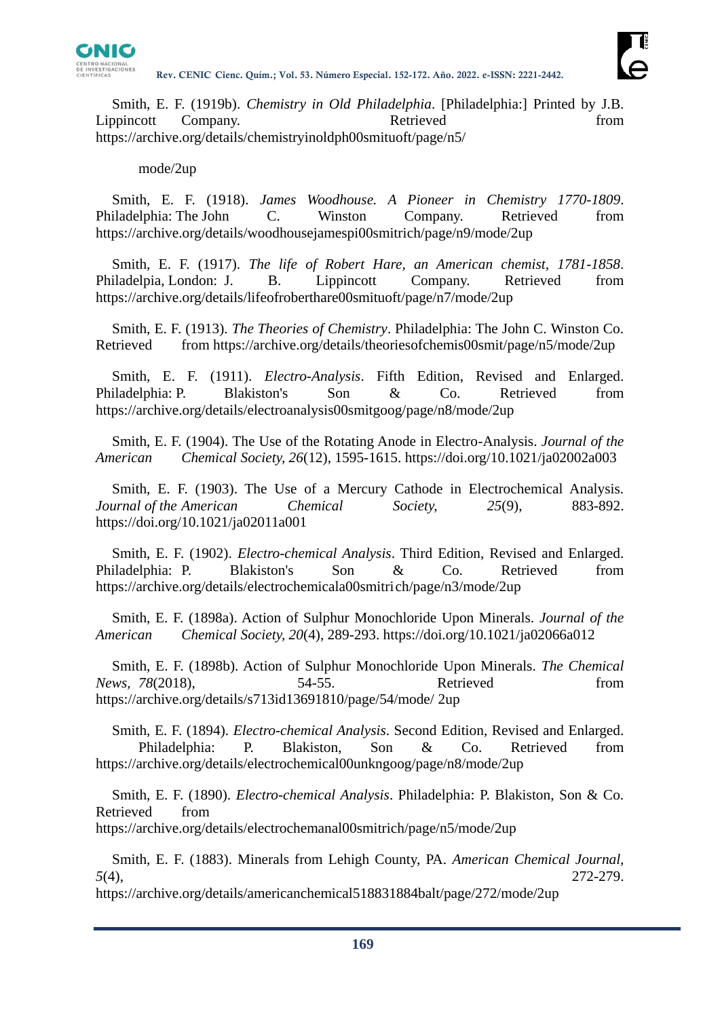

Smith, E. F. (1919b). *Chemistry in Old Philadelphia*. [Philadelphia:] Printed by J.B. Lippincott Company. Retrieved from from https://archive.org/details/chemistryinoldph00smituoft/page/n5/

## mode/2up

Smith, E. F. (1918). *James Woodhouse. A Pioneer in Chemistry 1770-1809*. Philadelphia: The John C. Winston Company. Retrieved from https://archive.org/details/woodhousejamespi00smitrich/page/n9/mode/2up

Smith, E. F. (1917). *The life of Robert Hare, an American chemist, 1781-1858*. Philadelpia, London: J. B. Lippincott Company. Retrieved from https://archive.org/details/lifeofroberthare00smituoft/page/n7/mode/2up

Smith, E. F. (1913). *The Theories of Chemistry*. Philadelphia: The John C. Winston Co. Retrieved from https://archive.org/details/theoriesofchemis00smit/page/n5/mode/2up

Smith, E. F. (1911). *Electro-Analysis*. Fifth Edition, Revised and Enlarged. Philadelphia: P. Blakiston's Son & Co. Retrieved from https://archive.org/details/electroanalysis00smitgoog/page/n8/mode/2up

Smith, E. F. (1904). The Use of the Rotating Anode in Electro-Analysis. *Journal of the American Chemical Society, 26*(12), 1595-1615. https://doi.org/10.1021/ja02002a003

Smith, E. F. (1903). The Use of a Mercury Cathode in Electrochemical Analysis. *Journal of the American Chemical Society, 25*(9), 883-892. https://doi.org/10.1021/ja02011a001

Smith, E. F. (1902). *Electro-chemical Analysis*. Third Edition, Revised and Enlarged. Philadelphia: P. Blakiston's Son & Co. Retrieved from https://archive.org/details/electrochemicala00smitrich/page/n3/mode/2up

Smith, E. F. (1898a). Action of Sulphur Monochloride Upon Minerals. *Journal of the American Chemical Society, 20*(4), 289-293. https://doi.org/10.1021/ja02066a012

Smith, E. F. (1898b). Action of Sulphur Monochloride Upon Minerals. *The Chemical News, 78*(2018), 54-55. Retrieved from https://archive.org/details/s713id13691810/page/54/mode/ 2up

Smith, E. F. (1894). *Electro-chemical Analysis*. Second Edition, Revised and Enlarged. Philadelphia: P. Blakiston, Son & Co. Retrieved from https://archive.org/details/electrochemical00unkngoog/page/n8/mode/2up

Smith, E. F. (1890). *Electro-chemical Analysis*. Philadelphia: P. Blakiston, Son & Co. Retrieved from

https://archive.org/details/electrochemanal00smitrich/page/n5/mode/2up

Smith, E. F. (1883). Minerals from Lehigh County, PA. *American Chemical Journal, 5*(4), 272-279.

https://archive.org/details/americanchemical518831884balt/page/272/mode/2up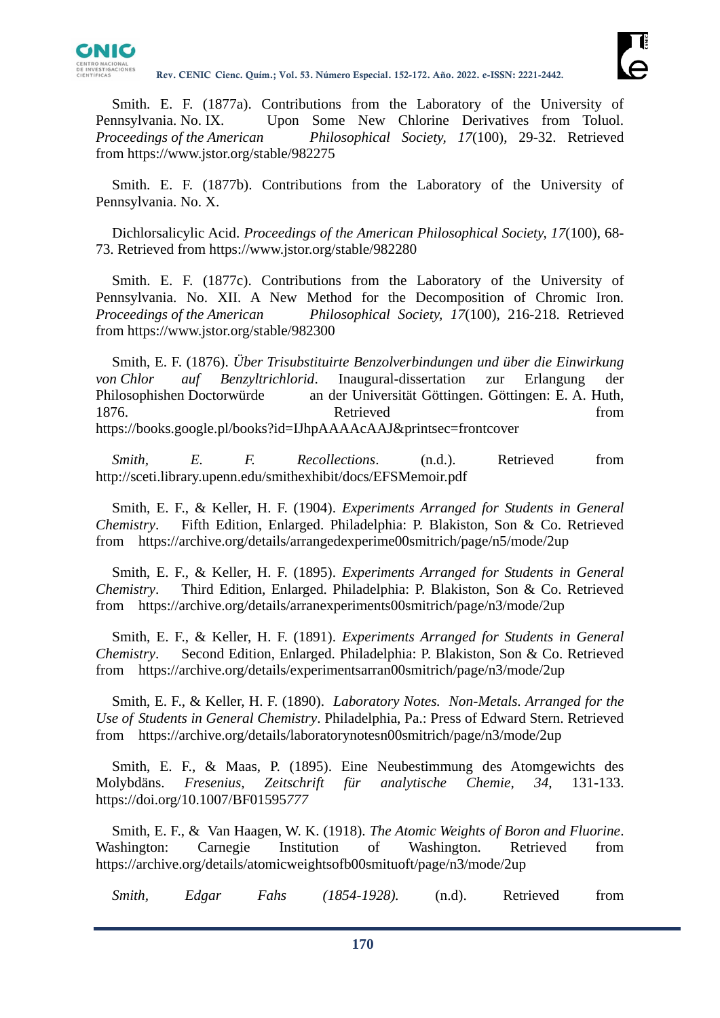

Smith. E. F. (1877a). Contributions from the Laboratory of the University of Pennsylvania. No. IX. Upon Some New Chlorine Derivatives from Toluol. *Proceedings of the American Philosophical Society, 17*(100), 29-32. Retrieved from https://www.jstor.org/stable/982275

Smith. E. F. (1877b). Contributions from the Laboratory of the University of Pennsylvania. No. X.

Dichlorsalicylic Acid. *Proceedings of the American Philosophical Society, 17*(100), 68- 73. Retrieved from https://www.jstor.org/stable/982280

Smith. E. F. (1877c). Contributions from the Laboratory of the University of Pennsylvania. No. XII. A New Method for the Decomposition of Chromic Iron. *Proceedings of the American Philosophical Society, 17*(100), 216-218. Retrieved from https://www.jstor.org/stable/982300

Smith, E. F. (1876). *Über Trisubstituirte Benzolverbindungen und über die Einwirkung von Chlor auf Benzyltrichlorid*. Inaugural-dissertation zur Erlangung der Philosophishen Doctorwürde an der Universität Göttingen. Göttingen: E. A. Huth, 1876. Contract Retrieved From Retrieved https://books.google.pl/books?id=IJhpAAAAcAAJ&printsec=frontcover

*Smith, E. F. Recollections*. (n.d.). Retrieved from http://sceti.library.upenn.edu/smithexhibit/docs/EFSMemoir.pdf

Smith, E. F., & Keller, H. F. (1904). *Experiments Arranged for Students in General Chemistry*. Fifth Edition, Enlarged. Philadelphia: P. Blakiston, Son & Co. Retrieved from https://archive.org/details/arrangedexperime00smitrich/page/n5/mode/2up

Smith, E. F., & Keller, H. F. (1895). *Experiments Arranged for Students in General Chemistry*. Third Edition, Enlarged. Philadelphia: P. Blakiston, Son & Co. Retrieved from https://archive.org/details/arranexperiments00smitrich/page/n3/mode/2up

Smith, E. F., & Keller, H. F. (1891). *Experiments Arranged for Students in General Chemistry*. Second Edition, Enlarged. Philadelphia: P. Blakiston, Son & Co. Retrieved from https://archive.org/details/experimentsarran00smitrich/page/n3/mode/2up

Smith, E. F., & Keller, H. F. (1890). *Laboratory Notes. Non-Metals. Arranged for the Use of Students in General Chemistry*. Philadelphia, Pa.: Press of Edward Stern. Retrieved from https://archive.org/details/laboratorynotesn00smitrich/page/n3/mode/2up

Smith, E. F., & Maas, P. (1895). Eine Neubestimmung des Atomgewichts des Molybdäns. *Fresenius, Zeitschrift für analytische Chemie, 34*, 131-133. https://doi.org/10.1007/BF01595*777*

Smith, E. F., & Van Haagen, W. K. (1918). *The Atomic Weights of Boron and Fluorine*. Washington: Carnegie Institution of Washington. Retrieved from https://archive.org/details/atomicweightsofb00smituoft/page/n3/mode/2up

*Smith, Edgar Fahs (1854-1928).* (n.d). Retrieved from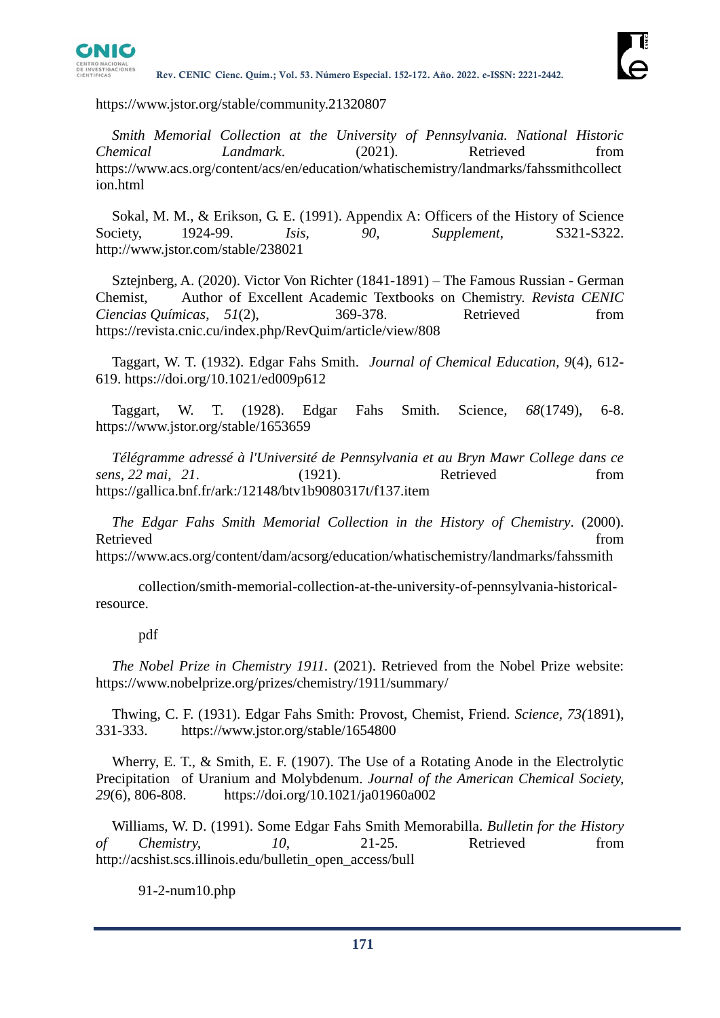

https://www.jstor.org/stable/community.21320807

*Smith Memorial Collection at the University of Pennsylvania. National Historic Chemical Landmark*. (2021). Retrieved from https://www.acs.org/content/acs/en/education/whatischemistry/landmarks/fahssmithcollect ion.html

Sokal, M. M., & Erikson, G. E. (1991). Appendix A: Officers of the History of Science Society, 1924-99. *Isis, 90, Supplement*, S321-S322. http://www.jstor.com/stable/238021

Sztejnberg, A. (2020). Victor Von Richter (1841-1891) – The Famous Russian - German Chemist, Author of Excellent Academic Textbooks on Chemistry. *Revista CENIC Ciencias Químicas*, *51*(2), 369-378. Retrieved from https://revista.cnic.cu/index.php/RevQuim/article/view/808

Taggart, W. T. (1932). Edgar Fahs Smith. *Journal of Chemical Education, 9*(4), 612- 619. https://doi.org/10.1021/ed009p612

Taggart, W. T. (1928). Edgar Fahs Smith. Science*, 68*(1749), 6-8. https://www.jstor.org/stable/1653659

*Télégramme adressé à l'Université de Pennsylvania et au Bryn Mawr College dans ce sens, 22 mai, 21*. (1921). Retrieved from https://gallica.bnf.fr/ark:/12148/btv1b9080317t/f137.item

*The Edgar Fahs Smith Memorial Collection in the History of Chemistry*. (2000). Retrieved from the state of the state of the state of the state of the state of the state of the state of the state of the state of the state of the state of the state of the state of the state of the state of the state of https://www.acs.org/content/dam/acsorg/education/whatischemistry/landmarks/fahssmith

collection/smith-memorial-collection-at-the-university-of-pennsylvania-historicalresource.

#### pdf

*The Nobel Prize in Chemistry 1911.* (2021). Retrieved from the Nobel Prize website: https://www.nobelprize.org/prizes/chemistry/1911/summary/

Thwing, C. F. (1931). Edgar Fahs Smith: Provost, Chemist, Friend. *Science, 73(*1891), 331-333. https://www.jstor.org/stable/1654800

Wherry, E. T., & Smith, E. F. (1907). The Use of a Rotating Anode in the Electrolytic Precipitation of Uranium and Molybdenum. *Journal of the American Chemical Society, 29*(6), 806-808. https://doi.org/10.1021/ja01960a002

Williams, W. D. (1991). Some Edgar Fahs Smith Memorabilla. *Bulletin for the History of Chemistry, 10*, 21-25. Retrieved from http://acshist.scs.illinois.edu/bulletin\_open\_access/bull

91-2-num10.php